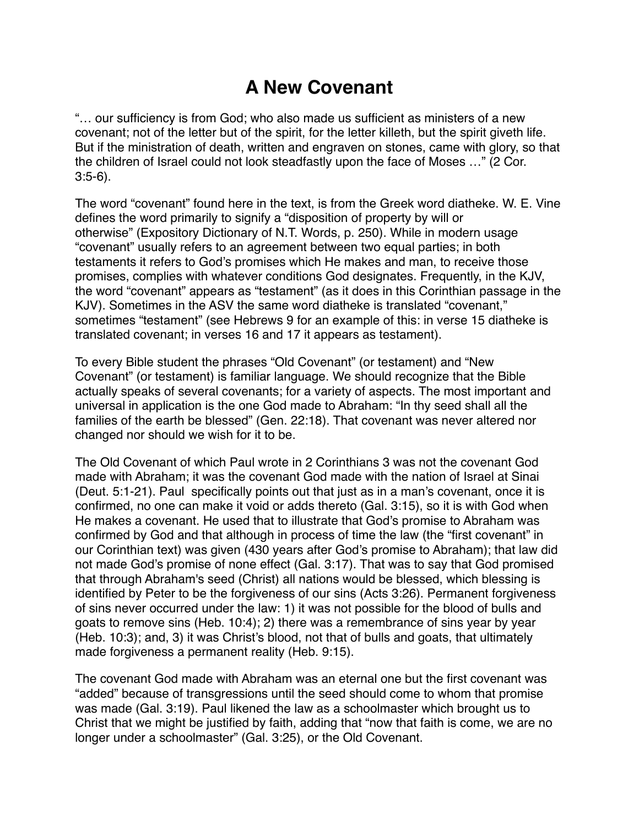## **A New Covenant**

"… our sufficiency is from God; who also made us sufficient as ministers of a new covenant; not of the letter but of the spirit, for the letter killeth, but the spirit giveth life. But if the ministration of death, written and engraven on stones, came with glory, so that the children of Israel could not look steadfastly upon the face of Moses …" (2 Cor. 3:5-6).

The word "covenant" found here in the text, is from the Greek word diatheke. W. E. Vine defines the word primarily to signify a "disposition of property by will or otherwise" (Expository Dictionary of N.T. Words, p. 250). While in modern usage "covenant" usually refers to an agreement between two equal parties; in both testaments it refers to God's promises which He makes and man, to receive those promises, complies with whatever conditions God designates. Frequently, in the KJV, the word "covenant" appears as "testament" (as it does in this Corinthian passage in the KJV). Sometimes in the ASV the same word diatheke is translated "covenant," sometimes "testament" (see Hebrews 9 for an example of this: in verse 15 diatheke is translated covenant; in verses 16 and 17 it appears as testament).

To every Bible student the phrases "Old Covenant" (or testament) and "New Covenant" (or testament) is familiar language. We should recognize that the Bible actually speaks of several covenants; for a variety of aspects. The most important and universal in application is the one God made to Abraham: "In thy seed shall all the families of the earth be blessed" (Gen. 22:18). That covenant was never altered nor changed nor should we wish for it to be.

The Old Covenant of which Paul wrote in 2 Corinthians 3 was not the covenant God made with Abraham; it was the covenant God made with the nation of Israel at Sinai (Deut. 5:1-21). Paul specifically points out that just as in a man's covenant, once it is confirmed, no one can make it void or adds thereto (Gal. 3:15), so it is with God when He makes a covenant. He used that to illustrate that God's promise to Abraham was confirmed by God and that although in process of time the law (the "first covenant" in our Corinthian text) was given (430 years after God's promise to Abraham); that law did not made God's promise of none effect (Gal. 3:17). That was to say that God promised that through Abraham's seed (Christ) all nations would be blessed, which blessing is identified by Peter to be the forgiveness of our sins (Acts 3:26). Permanent forgiveness of sins never occurred under the law: 1) it was not possible for the blood of bulls and goats to remove sins (Heb. 10:4); 2) there was a remembrance of sins year by year (Heb. 10:3); and, 3) it was Christ's blood, not that of bulls and goats, that ultimately made forgiveness a permanent reality (Heb. 9:15).

The covenant God made with Abraham was an eternal one but the first covenant was "added" because of transgressions until the seed should come to whom that promise was made (Gal. 3:19). Paul likened the law as a schoolmaster which brought us to Christ that we might be justified by faith, adding that "now that faith is come, we are no longer under a schoolmaster" (Gal. 3:25), or the Old Covenant.